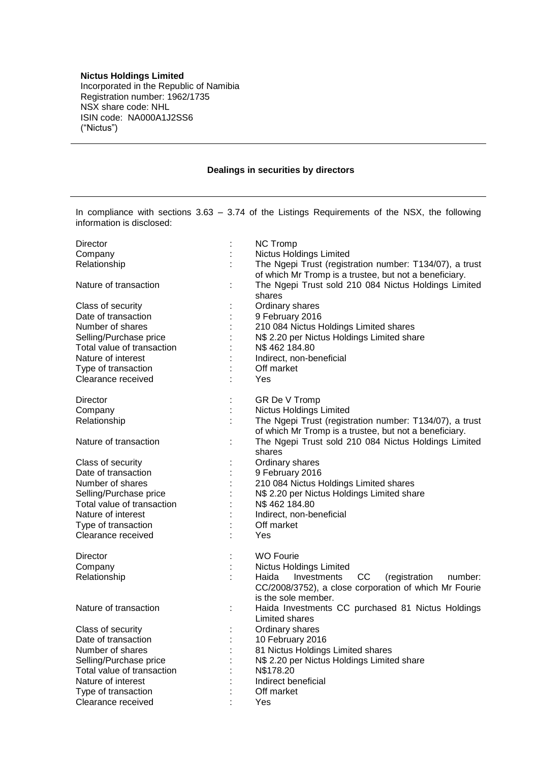## **Nictus Holdings Limited**

Incorporated in the Republic of Namibia Registration number: 1962/1735 NSX share code: NHL ISIN code: NA000A1J2SS6 ("Nictus")

## **Dealings in securities by directors**

In compliance with sections 3.63 – 3.74 of the Listings Requirements of the NSX, the following information is disclosed:

| Director                   | $\ddot{\phantom{a}}$ | <b>NC Tromp</b>                                         |
|----------------------------|----------------------|---------------------------------------------------------|
| Company                    |                      | <b>Nictus Holdings Limited</b>                          |
| Relationship               |                      | The Ngepi Trust (registration number: T134/07), a trust |
|                            |                      | of which Mr Tromp is a trustee, but not a beneficiary.  |
| Nature of transaction      |                      | The Ngepi Trust sold 210 084 Nictus Holdings Limited    |
|                            |                      | shares                                                  |
| Class of security          | ÷                    | Ordinary shares                                         |
| Date of transaction        |                      | 9 February 2016                                         |
| Number of shares           | $\vdots$             | 210 084 Nictus Holdings Limited shares                  |
| Selling/Purchase price     | $\vdots$             | N\$ 2.20 per Nictus Holdings Limited share              |
| Total value of transaction |                      | N\$462184.80                                            |
| Nature of interest         | Ì                    | Indirect, non-beneficial                                |
| Type of transaction        |                      | Off market                                              |
| Clearance received         |                      | Yes                                                     |
| Director                   | ÷                    | GR De V Tromp                                           |
| Company                    | t                    | <b>Nictus Holdings Limited</b>                          |
| Relationship               | t                    | The Ngepi Trust (registration number: T134/07), a trust |
|                            |                      | of which Mr Tromp is a trustee, but not a beneficiary.  |
| Nature of transaction      |                      | The Ngepi Trust sold 210 084 Nictus Holdings Limited    |
|                            |                      | shares                                                  |
| Class of security          | İ,                   | Ordinary shares                                         |
| Date of transaction        | $\ddot{\cdot}$       | 9 February 2016                                         |
| Number of shares           | $\ddot{\cdot}$       | 210 084 Nictus Holdings Limited shares                  |
| Selling/Purchase price     | Ì                    | N\$ 2.20 per Nictus Holdings Limited share              |
| Total value of transaction | $\ddot{\cdot}$       | N\$462184.80                                            |
| Nature of interest         |                      | Indirect, non-beneficial                                |
| Type of transaction        |                      | Off market                                              |
| Clearance received         | t                    | Yes                                                     |
|                            |                      |                                                         |
| Director                   | $\ddot{\cdot}$       | <b>WO Fourie</b>                                        |
| Company                    | $\ddot{\cdot}$       | <b>Nictus Holdings Limited</b>                          |
| Relationship               |                      | cc<br>Haida<br>Investments<br>(registration<br>number:  |
|                            |                      | CC/2008/3752), a close corporation of which Mr Fourie   |
|                            |                      | is the sole member.                                     |
| Nature of transaction      | ÷                    | Haida Investments CC purchased 81 Nictus Holdings       |
|                            |                      | Limited shares                                          |
| Class of security          | ÷                    | Ordinary shares                                         |
| Date of transaction        | $\ddot{\cdot}$       | 10 February 2016                                        |
| Number of shares           | $\ddot{\cdot}$       | 81 Nictus Holdings Limited shares                       |
| Selling/Purchase price     |                      | N\$ 2.20 per Nictus Holdings Limited share              |
| Total value of transaction |                      | N\$178.20                                               |
| Nature of interest         | ł                    | Indirect beneficial                                     |
| Type of transaction        |                      | Off market                                              |
| Clearance received         |                      | Yes                                                     |